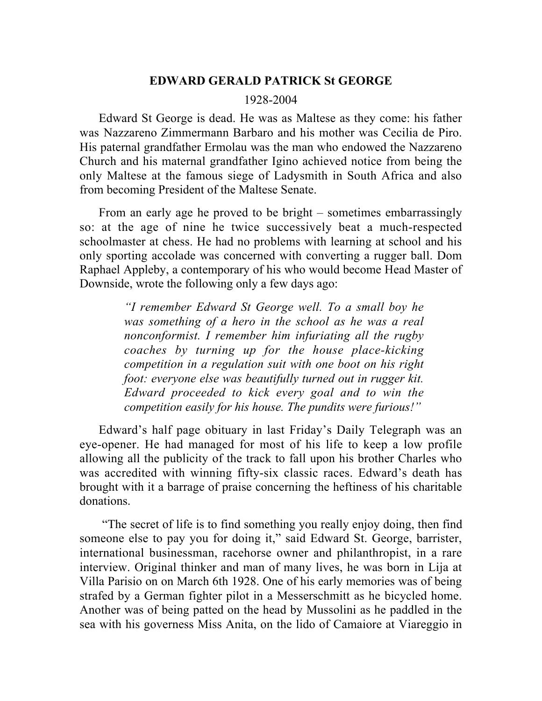## EDWARD GERALD PATRICK St GEORGE

## 1928-2004

Edward St George is dead. He was as Maltese as they come: his father was Nazzareno Zimmermann Barbaro and his mother was Cecilia de Piro. His paternal grandfather Ermolau was the man who endowed the Nazzareno Church and his maternal grandfather Igino achieved notice from being the only Maltese at the famous siege of Ladysmith in South Africa and also from becoming President of the Maltese Senate.

From an early age he proved to be bright – sometimes embarrassingly so: at the age of nine he twice successively beat a much-respected schoolmaster at chess. He had no problems with learning at school and his only sporting accolade was concerned with converting a rugger ball. Dom Raphael Appleby, a contemporary of his who would become Head Master of Downside, wrote the following only a few days ago:

> *"I remember Edward St George well. To a small boy he was something of a hero in the school as he was a real nonconformist. I remember him infuriating all the rugby coaches by turning up for the house place-kicking competition in a regulation suit with one boot on his right foot: everyone else was beautifully turned out in rugger kit. Edward proceeded to kick every goal and to win the competition easily for his house. The pundits were furious!"*

Edward's half page obituary in last Friday's Daily Telegraph was an eye-opener. He had managed for most of his life to keep a low profile allowing all the publicity of the track to fall upon his brother Charles who was accredited with winning fifty-six classic races. Edward's death has brought with it a barrage of praise concerning the heftiness of his charitable donations.

"The secret of life is to find something you really enjoy doing, then find someone else to pay you for doing it," said Edward St. George, barrister, international businessman, racehorse owner and philanthropist, in a rare interview. Original thinker and man of many lives, he was born in Lija at Villa Parisio on on March 6th 1928. One of his early memories was of being strafed by a German fighter pilot in a Messerschmitt as he bicycled home. Another was of being patted on the head by Mussolini as he paddled in the sea with his governess Miss Anita, on the lido of Camaiore at Viareggio in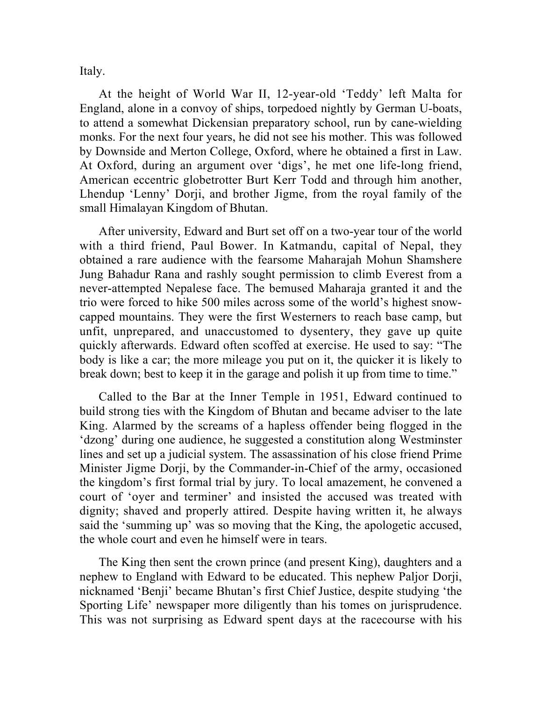Italy.

At the height of World War II, 12-year-old 'Teddy' left Malta for England, alone in a convoy of ships, torpedoed nightly by German U-boats, to attend a somewhat Dickensian preparatory school, run by cane-wielding monks. For the next four years, he did not see his mother. This was followed by Downside and Merton College, Oxford, where he obtained a first in Law. At Oxford, during an argument over 'digs', he met one life-long friend, American eccentric globetrotter Burt Kerr Todd and through him another, Lhendup 'Lenny' Dorji, and brother Jigme, from the royal family of the small Himalayan Kingdom of Bhutan.

After university, Edward and Burt set off on a two-year tour of the world with a third friend, Paul Bower. In Katmandu, capital of Nepal, they obtained a rare audience with the fearsome Maharajah Mohun Shamshere Jung Bahadur Rana and rashly sought permission to climb Everest from a never-attempted Nepalese face. The bemused Maharaja granted it and the trio were forced to hike 500 miles across some of the world's highest snowcapped mountains. They were the first Westerners to reach base camp, but unfit, unprepared, and unaccustomed to dysentery, they gave up quite quickly afterwards. Edward often scoffed at exercise. He used to say: "The body is like a car; the more mileage you put on it, the quicker it is likely to break down; best to keep it in the garage and polish it up from time to time."

Called to the Bar at the Inner Temple in 1951, Edward continued to build strong ties with the Kingdom of Bhutan and became adviser to the late King. Alarmed by the screams of a hapless offender being flogged in the 'dzong' during one audience, he suggested a constitution along Westminster lines and set up a judicial system. The assassination of his close friend Prime Minister Jigme Dorji, by the Commander-in-Chief of the army, occasioned the kingdom's first formal trial by jury. To local amazement, he convened a court of 'oyer and terminer' and insisted the accused was treated with dignity; shaved and properly attired. Despite having written it, he always said the 'summing up' was so moving that the King, the apologetic accused, the whole court and even he himself were in tears.

The King then sent the crown prince (and present King), daughters and a nephew to England with Edward to be educated. This nephew Paljor Dorji, nicknamed 'Benji' became Bhutan's first Chief Justice, despite studying 'the Sporting Life' newspaper more diligently than his tomes on jurisprudence. This was not surprising as Edward spent days at the racecourse with his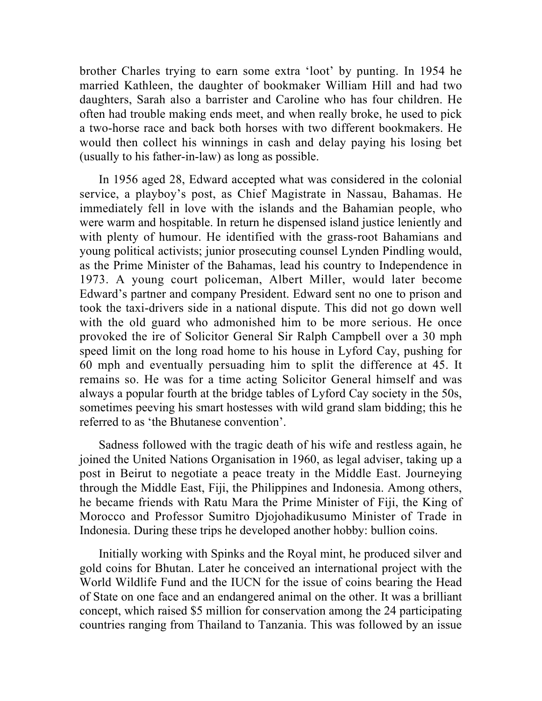brother Charles trying to earn some extra 'loot' by punting. In 1954 he married Kathleen, the daughter of bookmaker William Hill and had two daughters, Sarah also a barrister and Caroline who has four children. He often had trouble making ends meet, and when really broke, he used to pick a two-horse race and back both horses with two different bookmakers. He would then collect his winnings in cash and delay paying his losing bet (usually to his father-in-law) as long as possible.

In 1956 aged 28, Edward accepted what was considered in the colonial service, a playboy's post, as Chief Magistrate in Nassau, Bahamas. He immediately fell in love with the islands and the Bahamian people, who were warm and hospitable. In return he dispensed island justice leniently and with plenty of humour. He identified with the grass-root Bahamians and young political activists; junior prosecuting counsel Lynden Pindling would, as the Prime Minister of the Bahamas, lead his country to Independence in 1973. A young court policeman, Albert Miller, would later become Edward's partner and company President. Edward sent no one to prison and took the taxi-drivers side in a national dispute. This did not go down well with the old guard who admonished him to be more serious. He once provoked the ire of Solicitor General Sir Ralph Campbell over a 30 mph speed limit on the long road home to his house in Lyford Cay, pushing for 60 mph and eventually persuading him to split the difference at 45. It remains so. He was for a time acting Solicitor General himself and was always a popular fourth at the bridge tables of Lyford Cay society in the 50s, sometimes peeving his smart hostesses with wild grand slam bidding; this he referred to as 'the Bhutanese convention'.

Sadness followed with the tragic death of his wife and restless again, he joined the United Nations Organisation in 1960, as legal adviser, taking up a post in Beirut to negotiate a peace treaty in the Middle East. Journeying through the Middle East, Fiji, the Philippines and Indonesia. Among others, he became friends with Ratu Mara the Prime Minister of Fiji, the King of Morocco and Professor Sumitro Djojohadikusumo Minister of Trade in Indonesia. During these trips he developed another hobby: bullion coins.

Initially working with Spinks and the Royal mint, he produced silver and gold coins for Bhutan. Later he conceived an international project with the World Wildlife Fund and the IUCN for the issue of coins bearing the Head of State on one face and an endangered animal on the other. It was a brilliant concept, which raised \$5 million for conservation among the 24 participating countries ranging from Thailand to Tanzania. This was followed by an issue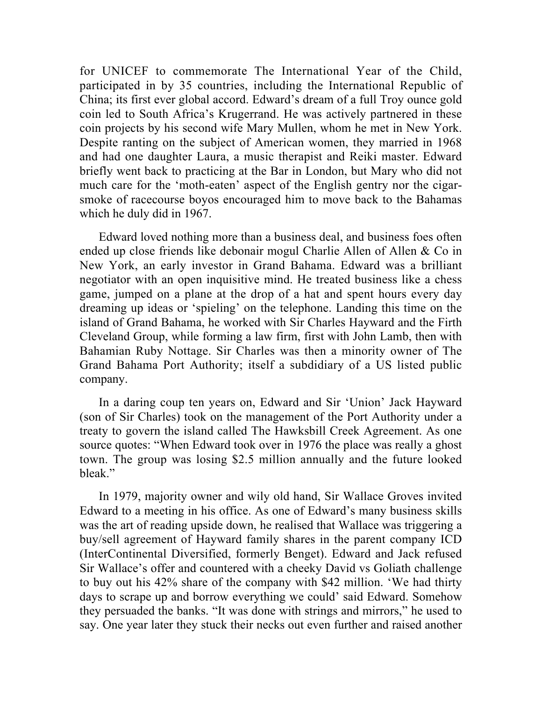for UNICEF to commemorate The International Year of the Child, participated in by 35 countries, including the International Republic of China; its first ever global accord. Edward's dream of a full Troy ounce gold coin led to South Africa's Krugerrand. He was actively partnered in these coin projects by his second wife Mary Mullen, whom he met in New York. Despite ranting on the subject of American women, they married in 1968 and had one daughter Laura, a music therapist and Reiki master. Edward briefly went back to practicing at the Bar in London, but Mary who did not much care for the 'moth-eaten' aspect of the English gentry nor the cigarsmoke of racecourse boyos encouraged him to move back to the Bahamas which he duly did in 1967.

Edward loved nothing more than a business deal, and business foes often ended up close friends like debonair mogul Charlie Allen of Allen & Co in New York, an early investor in Grand Bahama. Edward was a brilliant negotiator with an open inquisitive mind. He treated business like a chess game, jumped on a plane at the drop of a hat and spent hours every day dreaming up ideas or 'spieling' on the telephone. Landing this time on the island of Grand Bahama, he worked with Sir Charles Hayward and the Firth Cleveland Group, while forming a law firm, first with John Lamb, then with Bahamian Ruby Nottage. Sir Charles was then a minority owner of The Grand Bahama Port Authority; itself a subdidiary of a US listed public company.

In a daring coup ten years on, Edward and Sir 'Union' Jack Hayward (son of Sir Charles) took on the management of the Port Authority under a treaty to govern the island called The Hawksbill Creek Agreement. As one source quotes: "When Edward took over in 1976 the place was really a ghost town. The group was losing \$2.5 million annually and the future looked bleak."

In 1979, majority owner and wily old hand, Sir Wallace Groves invited Edward to a meeting in his office. As one of Edward's many business skills was the art of reading upside down, he realised that Wallace was triggering a buy/sell agreement of Hayward family shares in the parent company ICD (InterContinental Diversified, formerly Benget). Edward and Jack refused Sir Wallace's offer and countered with a cheeky David vs Goliath challenge to buy out his 42% share of the company with \$42 million. 'We had thirty days to scrape up and borrow everything we could' said Edward. Somehow they persuaded the banks. "It was done with strings and mirrors," he used to say. One year later they stuck their necks out even further and raised another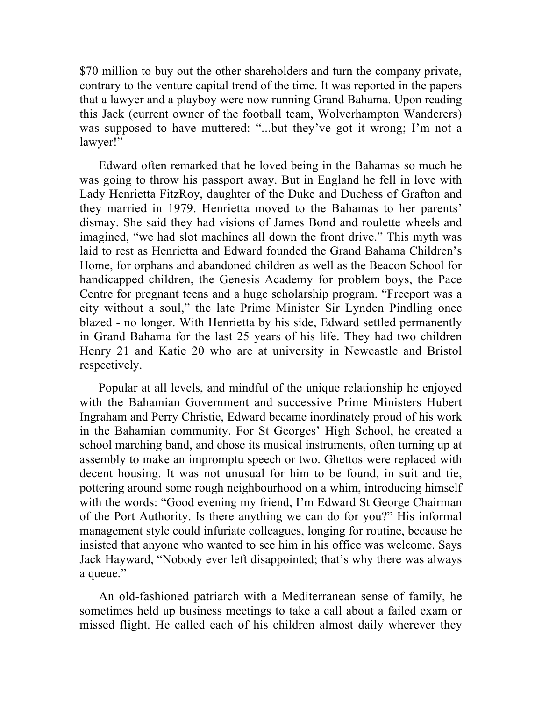\$70 million to buy out the other shareholders and turn the company private, contrary to the venture capital trend of the time. It was reported in the papers that a lawyer and a playboy were now running Grand Bahama. Upon reading this Jack (current owner of the football team, Wolverhampton Wanderers) was supposed to have muttered: "...but they've got it wrong; I'm not a lawyer!"

Edward often remarked that he loved being in the Bahamas so much he was going to throw his passport away. But in England he fell in love with Lady Henrietta FitzRoy, daughter of the Duke and Duchess of Grafton and they married in 1979. Henrietta moved to the Bahamas to her parents' dismay. She said they had visions of James Bond and roulette wheels and imagined, "we had slot machines all down the front drive." This myth was laid to rest as Henrietta and Edward founded the Grand Bahama Children's Home, for orphans and abandoned children as well as the Beacon School for handicapped children, the Genesis Academy for problem boys, the Pace Centre for pregnant teens and a huge scholarship program. "Freeport was a city without a soul," the late Prime Minister Sir Lynden Pindling once blazed - no longer. With Henrietta by his side, Edward settled permanently in Grand Bahama for the last 25 years of his life. They had two children Henry 21 and Katie 20 who are at university in Newcastle and Bristol respectively.

Popular at all levels, and mindful of the unique relationship he enjoyed with the Bahamian Government and successive Prime Ministers Hubert Ingraham and Perry Christie, Edward became inordinately proud of his work in the Bahamian community. For St Georges' High School, he created a school marching band, and chose its musical instruments, often turning up at assembly to make an impromptu speech or two. Ghettos were replaced with decent housing. It was not unusual for him to be found, in suit and tie, pottering around some rough neighbourhood on a whim, introducing himself with the words: "Good evening my friend, I'm Edward St George Chairman of the Port Authority. Is there anything we can do for you?" His informal management style could infuriate colleagues, longing for routine, because he insisted that anyone who wanted to see him in his office was welcome. Says Jack Hayward, "Nobody ever left disappointed; that's why there was always a queue."

An old-fashioned patriarch with a Mediterranean sense of family, he sometimes held up business meetings to take a call about a failed exam or missed flight. He called each of his children almost daily wherever they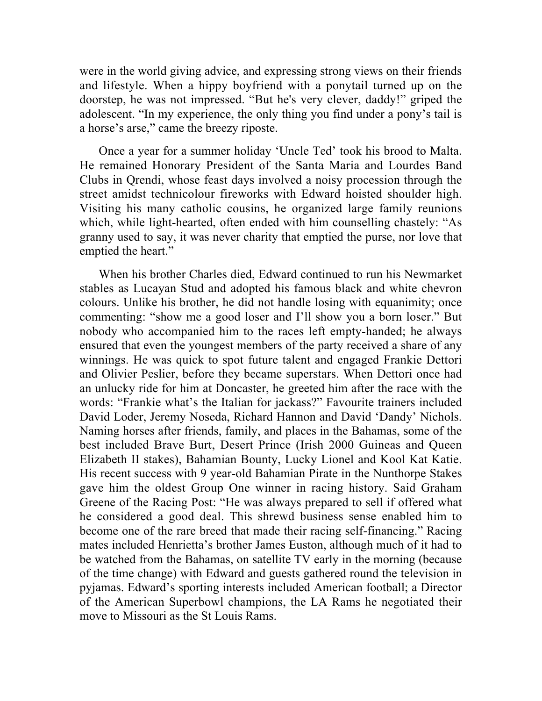were in the world giving advice, and expressing strong views on their friends and lifestyle. When a hippy boyfriend with a ponytail turned up on the doorstep, he was not impressed. "But he's very clever, daddy!" griped the adolescent. "In my experience, the only thing you find under a pony's tail is a horse's arse," came the breezy riposte.

Once a year for a summer holiday 'Uncle Ted' took his brood to Malta. He remained Honorary President of the Santa Maria and Lourdes Band Clubs in Qrendi, whose feast days involved a noisy procession through the street amidst technicolour fireworks with Edward hoisted shoulder high. Visiting his many catholic cousins, he organized large family reunions which, while light-hearted, often ended with him counselling chastely: "As granny used to say, it was never charity that emptied the purse, nor love that emptied the heart."

When his brother Charles died, Edward continued to run his Newmarket stables as Lucayan Stud and adopted his famous black and white chevron colours. Unlike his brother, he did not handle losing with equanimity; once commenting: "show me a good loser and I'll show you a born loser." But nobody who accompanied him to the races left empty-handed; he always ensured that even the youngest members of the party received a share of any winnings. He was quick to spot future talent and engaged Frankie Dettori and Olivier Peslier, before they became superstars. When Dettori once had an unlucky ride for him at Doncaster, he greeted him after the race with the words: "Frankie what's the Italian for jackass?" Favourite trainers included David Loder, Jeremy Noseda, Richard Hannon and David 'Dandy' Nichols. Naming horses after friends, family, and places in the Bahamas, some of the best included Brave Burt, Desert Prince (Irish 2000 Guineas and Queen Elizabeth II stakes), Bahamian Bounty, Lucky Lionel and Kool Kat Katie. His recent success with 9 year-old Bahamian Pirate in the Nunthorpe Stakes gave him the oldest Group One winner in racing history. Said Graham Greene of the Racing Post: "He was always prepared to sell if offered what he considered a good deal. This shrewd business sense enabled him to become one of the rare breed that made their racing self-financing." Racing mates included Henrietta's brother James Euston, although much of it had to be watched from the Bahamas, on satellite TV early in the morning (because of the time change) with Edward and guests gathered round the television in pyjamas. Edward's sporting interests included American football; a Director of the American Superbowl champions, the LA Rams he negotiated their move to Missouri as the St Louis Rams.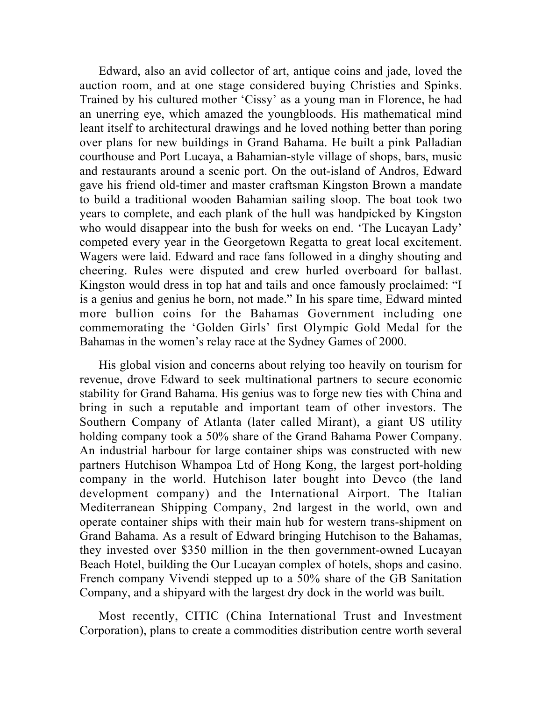Edward, also an avid collector of art, antique coins and jade, loved the auction room, and at one stage considered buying Christies and Spinks. Trained by his cultured mother 'Cissy' as a young man in Florence, he had an unerring eye, which amazed the youngbloods. His mathematical mind leant itself to architectural drawings and he loved nothing better than poring over plans for new buildings in Grand Bahama. He built a pink Palladian courthouse and Port Lucaya, a Bahamian-style village of shops, bars, music and restaurants around a scenic port. On the out-island of Andros, Edward gave his friend old-timer and master craftsman Kingston Brown a mandate to build a traditional wooden Bahamian sailing sloop. The boat took two years to complete, and each plank of the hull was handpicked by Kingston who would disappear into the bush for weeks on end. 'The Lucayan Lady' competed every year in the Georgetown Regatta to great local excitement. Wagers were laid. Edward and race fans followed in a dinghy shouting and cheering. Rules were disputed and crew hurled overboard for ballast. Kingston would dress in top hat and tails and once famously proclaimed: "I is a genius and genius he born, not made." In his spare time, Edward minted more bullion coins for the Bahamas Government including one commemorating the 'Golden Girls' first Olympic Gold Medal for the Bahamas in the women's relay race at the Sydney Games of 2000.

His global vision and concerns about relying too heavily on tourism for revenue, drove Edward to seek multinational partners to secure economic stability for Grand Bahama. His genius was to forge new ties with China and bring in such a reputable and important team of other investors. The Southern Company of Atlanta (later called Mirant), a giant US utility holding company took a 50% share of the Grand Bahama Power Company. An industrial harbour for large container ships was constructed with new partners Hutchison Whampoa Ltd of Hong Kong, the largest port-holding company in the world. Hutchison later bought into Devco (the land development company) and the International Airport. The Italian Mediterranean Shipping Company, 2nd largest in the world, own and operate container ships with their main hub for western trans-shipment on Grand Bahama. As a result of Edward bringing Hutchison to the Bahamas, they invested over \$350 million in the then government-owned Lucayan Beach Hotel, building the Our Lucayan complex of hotels, shops and casino. French company Vivendi stepped up to a 50% share of the GB Sanitation Company, and a shipyard with the largest dry dock in the world was built.

Most recently, CITIC (China International Trust and Investment Corporation), plans to create a commodities distribution centre worth several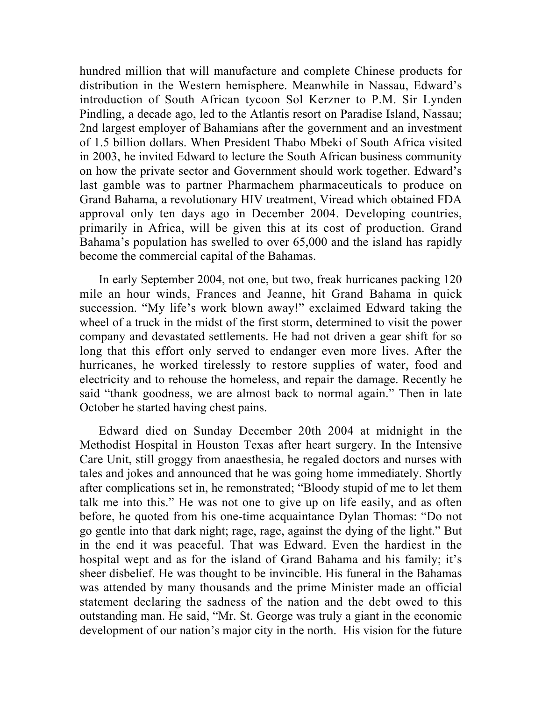hundred million that will manufacture and complete Chinese products for distribution in the Western hemisphere. Meanwhile in Nassau, Edward's introduction of South African tycoon Sol Kerzner to P.M. Sir Lynden Pindling, a decade ago, led to the Atlantis resort on Paradise Island, Nassau; 2nd largest employer of Bahamians after the government and an investment of 1.5 billion dollars. When President Thabo Mbeki of South Africa visited in 2003, he invited Edward to lecture the South African business community on how the private sector and Government should work together. Edward's last gamble was to partner Pharmachem pharmaceuticals to produce on Grand Bahama, a revolutionary HIV treatment, Viread which obtained FDA approval only ten days ago in December 2004. Developing countries, primarily in Africa, will be given this at its cost of production. Grand Bahama's population has swelled to over 65,000 and the island has rapidly become the commercial capital of the Bahamas.

In early September 2004, not one, but two, freak hurricanes packing 120 mile an hour winds, Frances and Jeanne, hit Grand Bahama in quick succession. "My life's work blown away!" exclaimed Edward taking the wheel of a truck in the midst of the first storm, determined to visit the power company and devastated settlements. He had not driven a gear shift for so long that this effort only served to endanger even more lives. After the hurricanes, he worked tirelessly to restore supplies of water, food and electricity and to rehouse the homeless, and repair the damage. Recently he said "thank goodness, we are almost back to normal again." Then in late October he started having chest pains.

Edward died on Sunday December 20th 2004 at midnight in the Methodist Hospital in Houston Texas after heart surgery. In the Intensive Care Unit, still groggy from anaesthesia, he regaled doctors and nurses with tales and jokes and announced that he was going home immediately. Shortly after complications set in, he remonstrated; "Bloody stupid of me to let them talk me into this." He was not one to give up on life easily, and as often before, he quoted from his one-time acquaintance Dylan Thomas: "Do not go gentle into that dark night; rage, rage, against the dying of the light." But in the end it was peaceful. That was Edward. Even the hardiest in the hospital wept and as for the island of Grand Bahama and his family; it's sheer disbelief. He was thought to be invincible. His funeral in the Bahamas was attended by many thousands and the prime Minister made an official statement declaring the sadness of the nation and the debt owed to this outstanding man. He said, "Mr. St. George was truly a giant in the economic development of our nation's major city in the north. His vision for the future